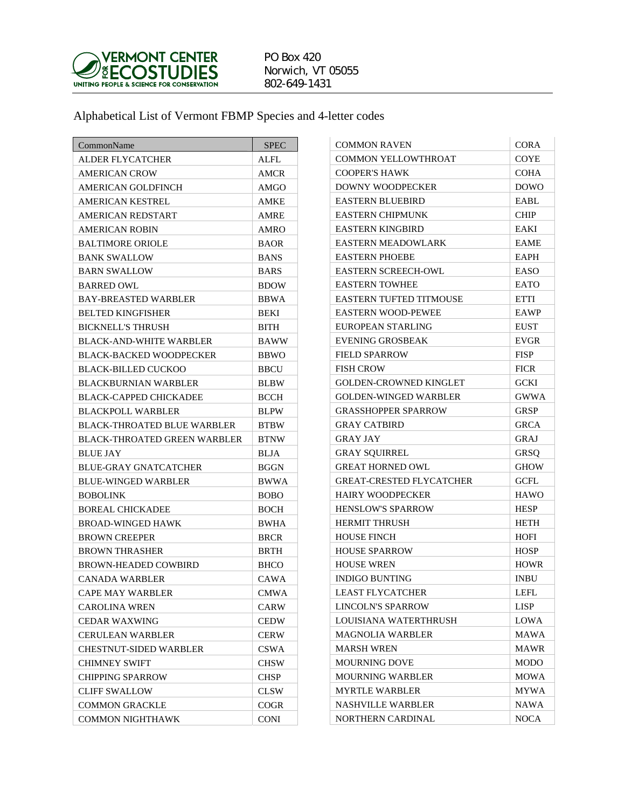

## PO Box 420 Norwich, VT 05055 802-649-1431

Alphabetical List of Vermont FBMP Species and 4-letter codes

| CommonName                         | <b>SPEC</b> |
|------------------------------------|-------------|
| ALDER FLYCATCHER                   | <b>ALFL</b> |
| <b>AMERICAN CROW</b>               | AMCR        |
| AMERICAN GOLDFINCH                 | AMGO        |
| AMERICAN KESTREL                   | AMKE        |
| AMERICAN REDSTART                  | AMRE        |
| <b>AMERICAN ROBIN</b>              | <b>AMRO</b> |
| <b>BALTIMORE ORIOLE</b>            | <b>BAOR</b> |
| <b>BANK SWALLOW</b>                | <b>BANS</b> |
| <b>BARN SWALLOW</b>                | <b>BARS</b> |
| <b>BARRED OWL</b>                  | <b>BDOW</b> |
| <b>BAY-BREASTED WARBLER</b>        | <b>BBWA</b> |
| <b>BELTED KINGFISHER</b>           | BEKI        |
| <b>BICKNELL'S THRUSH</b>           | <b>BITH</b> |
| <b>BLACK-AND-WHITE WARBLER</b>     | <b>BAWW</b> |
| <b>BLACK-BACKED WOODPECKER</b>     | <b>BBWO</b> |
| BLACK-BILLED CUCKOO                | <b>BBCU</b> |
| <b>BLACKBURNIAN WARBLER</b>        | <b>BLBW</b> |
| BLACK-CAPPED CHICKADEE             | <b>BCCH</b> |
| <b>BLACKPOLL WARBLER</b>           | <b>BLPW</b> |
| <b>BLACK-THROATED BLUE WARBLER</b> | <b>BTBW</b> |
| BLACK-THROATED GREEN WARBLER       | <b>BTNW</b> |
| <b>BLUE JAY</b>                    | BLJA        |
| <b>BLUE-GRAY GNATCATCHER</b>       | <b>BGGN</b> |
| <b>BLUE-WINGED WARBLER</b>         | <b>BWWA</b> |
| <b>BOBOLINK</b>                    | <b>BOBO</b> |
| <b>BOREAL CHICKADEE</b>            | <b>BOCH</b> |
| <b>BROAD-WINGED HAWK</b>           | <b>BWHA</b> |
| <b>BROWN CREEPER</b>               | <b>BRCR</b> |
| <b>BROWN THRASHER</b>              | <b>BRTH</b> |
| <b>BROWN-HEADED COWBIRD</b>        | <b>BHCO</b> |
| CANADA WARBLER                     | CAWA        |
| CAPE MAY WARBLER                   | <b>CMWA</b> |
| <b>CAROLINA WREN</b>               | <b>CARW</b> |
| <b>CEDAR WAXWING</b>               | <b>CEDW</b> |
| <b>CERULEAN WARBLER</b>            | <b>CERW</b> |
| <b>CHESTNUT-SIDED WARBLER</b>      | CSWA        |
| <b>CHIMNEY SWIFT</b>               | CHSW        |
| <b>CHIPPING SPARROW</b>            | <b>CHSP</b> |
| <b>CLIFF SWALLOW</b>               | CLSW        |
| <b>COMMON GRACKLE</b>              | <b>COGR</b> |
| COMMON NIGHTHAWK                   | <b>CONI</b> |

| <b>COMMON RAVEN</b>             | CORA        |
|---------------------------------|-------------|
| COMMON YELLOWTHROAT             | <b>COYE</b> |
| <b>COOPER'S HAWK</b>            | <b>COHA</b> |
| <b>DOWNY WOODPECKER</b>         | <b>DOWO</b> |
| <b>EASTERN BLUEBIRD</b>         | EABL        |
| <b>EASTERN CHIPMUNK</b>         | <b>CHIP</b> |
| <b>EASTERN KINGBIRD</b>         | EAKI        |
| <b>EASTERN MEADOWLARK</b>       | <b>EAME</b> |
| <b>EASTERN PHOEBE</b>           | <b>EAPH</b> |
| <b>EASTERN SCREECH-OWL</b>      | EASO        |
| <b>EASTERN TOWHEE</b>           | <b>EATO</b> |
| <b>EASTERN TUFTED TITMOUSE</b>  | <b>ETTI</b> |
| <b>EASTERN WOOD-PEWEE</b>       | EAWP        |
| EUROPEAN STARLING               | <b>EUST</b> |
| <b>EVENING GROSBEAK</b>         | <b>EVGR</b> |
| <b>FIELD SPARROW</b>            | <b>FISP</b> |
| <b>FISH CROW</b>                | <b>FICR</b> |
| <b>GOLDEN-CROWNED KINGLET</b>   | <b>GCKI</b> |
| <b>GOLDEN-WINGED WARBLER</b>    | GWWA        |
| <b>GRASSHOPPER SPARROW</b>      | <b>GRSP</b> |
| <b>GRAY CATBIRD</b>             | <b>GRCA</b> |
| GRAY JAY                        | <b>GRAJ</b> |
| <b>GRAY SQUIRREL</b>            | GRSQ        |
| <b>GREAT HORNED OWL</b>         | <b>GHOW</b> |
| <b>GREAT-CRESTED FLYCATCHER</b> | <b>GCFL</b> |
| <b>HAIRY WOODPECKER</b>         | <b>HAWO</b> |
| <b>HENSLOW'S SPARROW</b>        | <b>HESP</b> |
| <b>HERMIT THRUSH</b>            | HETH        |
| <b>HOUSE FINCH</b>              | <b>HOFI</b> |
| <b>HOUSE SPARROW</b>            | <b>HOSP</b> |
| <b>HOUSE WREN</b>               | <b>HOWR</b> |
| <b>INDIGO BUNTING</b>           | <b>INBU</b> |
| LEAST FLYCATCHER                | LEFL        |
| LINCOLN'S SPARROW               | LISP        |
| LOUISIANA WATERTHRUSH           | LOWA        |
| MAGNOLIA WARBLER                | MAWA        |
| <b>MARSH WREN</b>               | MAWR        |
| <b>MOURNING DOVE</b>            | MODO        |
| <b>MOURNING WARBLER</b>         | <b>MOWA</b> |
| <b>MYRTLE WARBLER</b>           | MYWA        |
| NASHVILLE WARBLER               | NAWA        |
| NORTHERN CARDINAL               | <b>NOCA</b> |